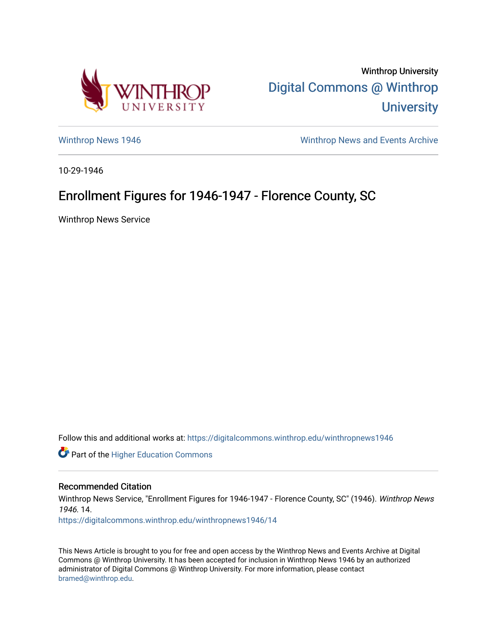

Winthrop University [Digital Commons @ Winthrop](https://digitalcommons.winthrop.edu/)  **University** 

[Winthrop News 1946](https://digitalcommons.winthrop.edu/winthropnews1946) [Winthrop News and Events Archive](https://digitalcommons.winthrop.edu/winthropnewsarchives) 

10-29-1946

## Enrollment Figures for 1946-1947 - Florence County, SC

Winthrop News Service

Follow this and additional works at: [https://digitalcommons.winthrop.edu/winthropnews1946](https://digitalcommons.winthrop.edu/winthropnews1946?utm_source=digitalcommons.winthrop.edu%2Fwinthropnews1946%2F14&utm_medium=PDF&utm_campaign=PDFCoverPages) 

Part of the [Higher Education Commons](http://network.bepress.com/hgg/discipline/1245?utm_source=digitalcommons.winthrop.edu%2Fwinthropnews1946%2F14&utm_medium=PDF&utm_campaign=PDFCoverPages) 

## Recommended Citation

Winthrop News Service, "Enrollment Figures for 1946-1947 - Florence County, SC" (1946). Winthrop News 1946. 14.

[https://digitalcommons.winthrop.edu/winthropnews1946/14](https://digitalcommons.winthrop.edu/winthropnews1946/14?utm_source=digitalcommons.winthrop.edu%2Fwinthropnews1946%2F14&utm_medium=PDF&utm_campaign=PDFCoverPages)

This News Article is brought to you for free and open access by the Winthrop News and Events Archive at Digital Commons @ Winthrop University. It has been accepted for inclusion in Winthrop News 1946 by an authorized administrator of Digital Commons @ Winthrop University. For more information, please contact [bramed@winthrop.edu.](mailto:bramed@winthrop.edu)